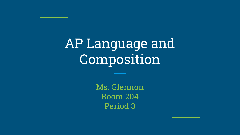AP Language and Composition

> Ms. Glennon Room 204 Period 3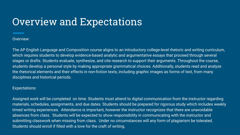# Overview and Expectations

Overview:

The AP English Language and Composition course aligns to an introductory college-level rhetoric and writing curriculum, which requires students to develop evidence-based analytic and argumentative essays that proceed through several stages or drafts. Students evaluate, synthesize, and cite research to support their arguments. Throughout the course, students develop a personal style by making appropriate grammatical choices. Additionally, students read and analyze the rhetorical elements and their effects in non-fiction texts, including graphic images as forms of text, from many disciplines and historical periods.

#### Expectations:

Assigned work will be completed on time. Students must attend to digital communication from the instructor regarding materials, schedules, assignments, and due dates. Students should be prepared for rigorous study which includes weekly timed writing experiences. Attendance is important, however the instructor recognizes that there are unavoidable absences from class. Students will be expected to show responsibility in communicating with the instructor and submitting classwork when missing from class. Under no circumstances will any form of plagiarism be tolerated. Students should enroll if filled with a love for the craft of writing.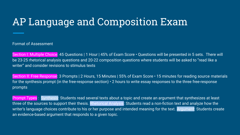## AP Language and Composition Exam

Format of Assessment

Section I: Multiple Choice: 45 Questions | 1 Hour | 45% of Exam Score • Questions will be presented in 5 sets. There will be 23-25 rhetorical analysis questions and 20-22 composition questions where students will be asked to "read like a writer" and consider revisions to stimulus texts

Section II: Free Response: 3 Prompts | 2 Hours, 15 Minutes | 55% of Exam Score · 15 minutes for reading source materials for the synthesis prompt (in the free-response section) • 2 hours to write essay responses to the three free-response prompts

Prompt Types: Synthesis: Students read several texts about a topic and create an argument that synthesizes at least three of the sources to support their thesis. Rhetorical Analysis: Students read a non-fiction text and analyze how the writer's language choices contribute to his or her purpose and intended meaning for the text. Argument: Students create an evidence-based argument that responds to a given topic.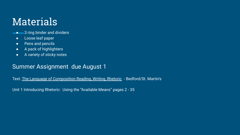### Materials

- **-** 3 ring binder and dividers
	- **•** Loose leaf paper
	- Pens and pencils
	- A pack of highlighters
	- A variety of sticky notes

#### Summer Assignment due August 1

Text: The Language of Composition Reading, Writing, Rhetoric - Bedford/St. Martin's

Unit 1 Introducing Rhetoric: Using the "Available Means" pages 2 - 35